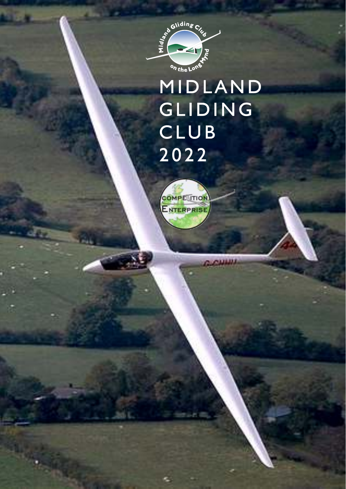

## **MIDLAND** GLIDING **CLUB** 2 0 2 2

**G.CHINI** 

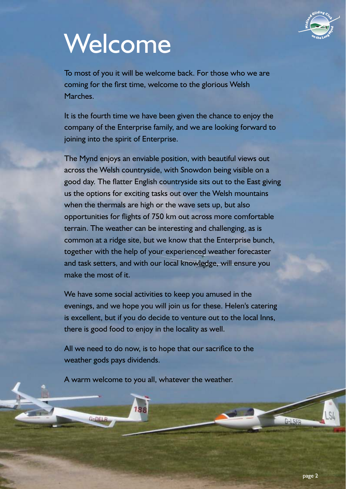

## Welcome

To most of you it will be welcome back. For those who we are coming for the first time, welcome to the glorious Welsh Marches.

It is the fourth time we have been given the chance to enjoy the company of the Enterprise family, and we are looking forward to joining into the spirit of Enterprise.

The Mynd enjoys an enviable position, with beautiful views out across the Welsh countryside, with Snowdon being visible on a good day. The flatter English countryside sits out to the East giving us the options for exciting tasks out over the Welsh mountains when the thermals are high or the wave sets up, but also opportunities for flights of 750 km out across more comfortable terrain. The weather can be interesting and challenging, as is common at a ridge site, but we know that the Enterprise bunch, together with the help of your experienced weather forecaster and task setters, and with our local knowledge, will ensure you make the most of it.

We have some social activities to keep you amused in the evenings, and we hope you will join us for these. Helen's catering is excellent, but if you do decide to venture out to the local Inns, there is good food to enjoy in the locality as well.

All we need to do now, is to hope that our sacrifice to the weather gods pays dividends.

A warm welcome to you all, whatever the weather.

188

 $G = DFLR$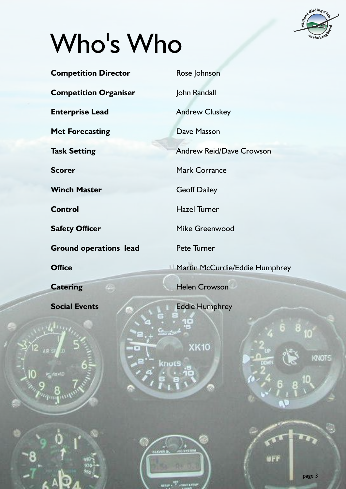

page 3

## Who's Who

喻

| <b>Competition Director</b>                          | Rose Johnson                          |
|------------------------------------------------------|---------------------------------------|
| <b>Competition Organiser</b>                         | John Randall                          |
| <b>Enterprise Lead</b>                               | <b>Andrew Cluskey</b>                 |
| <b>Met Forecasting</b>                               | Dave Masson                           |
| <b>Task Setting</b>                                  | <b>Andrew Reid/Dave Crowson</b>       |
| <b>Scorer</b>                                        | <b>Mark Corrance</b>                  |
| <b>Winch Master</b>                                  | <b>Geoff Dailey</b>                   |
| <b>Control</b>                                       | <b>Hazel Turner</b>                   |
| <b>Safety Officer</b>                                | Mike Greenwood                        |
| <b>Ground operations lead</b>                        | Pete Turner                           |
| <b>Office</b>                                        | <b>Martin McCurdie/Eddie Humphrey</b> |
| <b>Catering</b>                                      | <b>Helen Crowson</b>                  |
| <b>Social Events</b>                                 | <b>Eddie Humphrey</b>                 |
|                                                      | 8<br>à<br>Contractor (                |
| 2 <br>$\left\vert \mathbf{u}\right\rangle$<br>AIR SA | XK10<br>13                            |
|                                                      | KNOTS<br>DOWN<br>knots                |
| kg davil)                                            | ä,<br>8                               |
|                                                      |                                       |
|                                                      |                                       |
|                                                      |                                       |
| <b>CLEVER BC</b><br>asteri<br>970                    | 203 S. STEM<br>øFf                    |

 $\lim_{n\to\infty}e^{-\frac{\mathbf{G}(\mathbf{r})^2}{2}}+\mathbf{V}(\mathbf{r})=e^{-\mathbf{V}(\mathbf{r})^2}$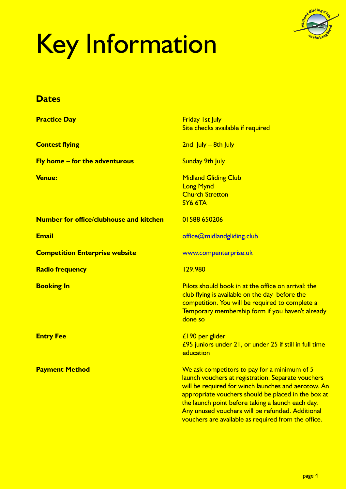

# Key Information

#### **Dates**

| <b>Practice Day</b>                            | <b>Friday 1st July</b><br>Site checks available if required                                                                                                                                                                                                                                                                                                                             |
|------------------------------------------------|-----------------------------------------------------------------------------------------------------------------------------------------------------------------------------------------------------------------------------------------------------------------------------------------------------------------------------------------------------------------------------------------|
| <b>Contest flying</b>                          | $2nd$ July – 8th July                                                                                                                                                                                                                                                                                                                                                                   |
| <b>Fly home - for the adventurous</b>          | <b>Sunday 9th July</b>                                                                                                                                                                                                                                                                                                                                                                  |
| <b>Venue:</b>                                  | <b>Midland Gliding Club</b><br><b>Long Mynd</b><br><b>Church Stretton</b><br>SY6 6TA                                                                                                                                                                                                                                                                                                    |
| <b>Number for office/clubhouse and kitchen</b> | 01588 650206                                                                                                                                                                                                                                                                                                                                                                            |
| <b>Email</b>                                   | office@midlandgliding.club                                                                                                                                                                                                                                                                                                                                                              |
| <b>Competition Enterprise website</b>          | www.compenterprise.uk                                                                                                                                                                                                                                                                                                                                                                   |
| <b>Radio frequency</b>                         | 129.980                                                                                                                                                                                                                                                                                                                                                                                 |
| <b>Booking In</b>                              | Pilots should book in at the office on arrival: the<br>club flying is available on the day before the<br>competition. You will be required to complete a<br>Temporary membership form if you haven't already<br>done so                                                                                                                                                                 |
| <b>Entry Fee</b>                               | £190 per glider<br>£95 juniors under 21, or under 25 if still in full time<br>education                                                                                                                                                                                                                                                                                                 |
| <b>Payment Method</b>                          | We ask competitors to pay for a minimum of 5<br><u>launch vouchers at registration. Separate vouchers</u><br>will be required for winch launches and aerotow. An<br>appropriate vouchers should be placed in the box at<br>the launch point before taking a launch each day.<br>Any unused vouchers will be refunded. Additional<br>vouchers are available as required from the office. |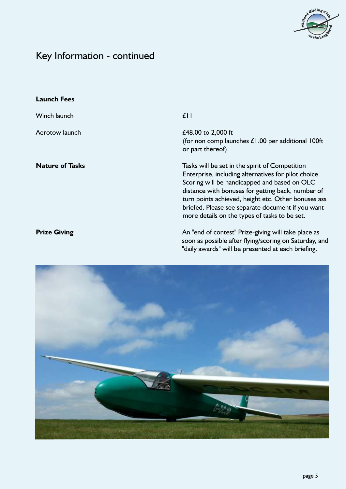

### Key Information - continued

| <b>Launch Fees</b>     |                                                                                                                                                                                                                                                                                                                                                                          |
|------------------------|--------------------------------------------------------------------------------------------------------------------------------------------------------------------------------------------------------------------------------------------------------------------------------------------------------------------------------------------------------------------------|
| Winch launch           | f <sub>1</sub>                                                                                                                                                                                                                                                                                                                                                           |
| Aerotow launch         | £48.00 to 2,000 ft<br>(for non comp launches $£1.00$ per additional 100ft<br>or part thereof)                                                                                                                                                                                                                                                                            |
| <b>Nature of Tasks</b> | Tasks will be set in the spirit of Competition<br>Enterprise, including alternatives for pilot choice.<br>Scoring will be handicapped and based on OLC<br>distance with bonuses for getting back, number of<br>turn points achieved, height etc. Other bonuses ass<br>briefed. Please see separate document if you want<br>more details on the types of tasks to be set. |
| <b>Prize Giving</b>    | An "end of contest" Prize-giving will take place as<br>soon as possible after flying/scoring on Saturday, and<br>"daily awards" will be presented at each briefing.                                                                                                                                                                                                      |

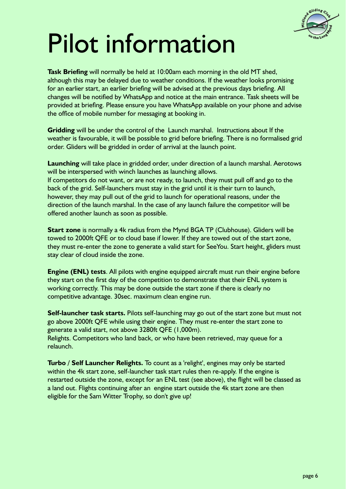

## Pilot information

**Task Briefing** will normally be held at 10:00am each morning in the old MT shed, although this may be delayed due to weather conditions. If the weather looks promising for an earlier start, an earlier briefing will be advised at the previous days briefing. All changes will be notified by WhatsApp and notice at the main entrance. Task sheets will be provided at brieng. Please ensure you have WhatsApp available on your phone and advise the office of mobile number for messaging at booking in.

**Gridding** will be under the control of the Launch marshal. Instructions about If the weather is favourable, it will be possible to grid before briefing. There is no formalised grid order. Gliders will be gridded in order of arrival at the launch point.

If competitors do not want, or are not ready, to launch, they must pull off and go to the back of the grid. Self-launchers must stay in the grid until it is their turn to launch, however, they may pull out of the grid to launch for operational reasons, under the direction of the launch marshal. In the case of any launch failure the competitor will be offered another launch as soon as possible. **Launching** will take place in gridded order, under direction of a launch marshal. Aerotows will be interspersed with winch launches as launching allows.

**Start zone** is normally a 4k radius from the Mynd BGA TP (Clubhouse). Gliders will be towed to 2000ft QFE or to cloud base if lower. If they are towed out of the start zone, they must re-enter the zone to generate a valid start for SeeYou. Start height, gliders must stay clear of cloud inside the zone.

**Engine (ENL) tests**. All pilots with engine equipped aircraft must run their engine before they start on the first day of the competition to demonstrate that their ENL system is working correctly. This may be done outside the start zone if there is clearly no competitive advantage. 30sec. maximum clean engine run.

**Self-launcher task starts.** Pilots self-launching may go out of the start zone but must not go above 2000ft QFE while using their engine. They must re-enter the start zone to generate a valid start, not above 3280ft QFE (1,000m). Relights. Competitors who land back, or who have been retrieved, may queue for a relaunch.

**Turbo / Self Launcher Relights.** To count as a 'relight', engines may only be started within the 4k start zone, self-launcher task start rules then re-apply. If the engine is restarted outside the zone, except for an ENL test (see above), the flight will be classed as a land out. Flights continuing after an engine start outside the 4k start zone are then eligible for the Sam Witter Trophy, so don't give up!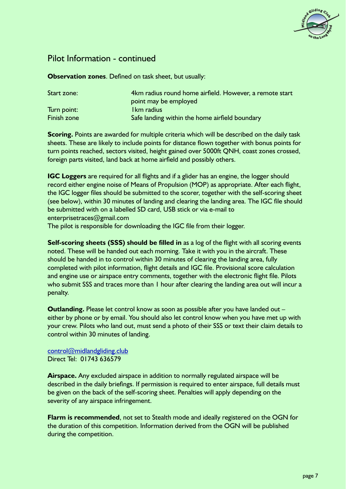

#### Pilot Information - continued

**Observation zones**. Defined on task sheet, but usually:

| Start zone: | 4km radius round home airfield. However, a remote start |
|-------------|---------------------------------------------------------|
|             | point may be employed                                   |
| Turn point: | I km radius                                             |
| Finish zone | Safe landing within the home airfield boundary          |

**Scoring.** Points are awarded for multiple criteria which will be described on the daily task sheets. These are likely to include points for distance flown together with bonus points for turn points reached, sectors visited, height gained over 5000ft QNH, coast zones crossed, foreign parts visited, land back at home airfield and possibly others.

**IGC Loggers** are required for all flights and if a glider has an engine, the logger should record either engine noise of Means of Propulsion (MOP) as appropriate. After each flight, the IGC logger files should be submitted to the scorer, together with the self-scoring sheet (see below), within 30 minutes of landing and clearing the landing area. The IGC file should be submitted with on a labelled SD card, USB stick or via e-mail to enterprisetraces@gmail.com

The pilot is responsible for downloading the IGC file from their logger.

**Self-scoring sheets (SSS) should be filled in** as a log of the flight with all scoring events noted. These will be handed out each morning. Take it with you in the aircraft. These should be handed in to control within 30 minutes of clearing the landing area, fully completed with pilot information, flight details and IGC file. Provisional score calculation and engine use or airspace entry comments, together with the electronic flight file. Pilots who submit SSS and traces more than 1 hour after clearing the landing area out will incur a penalty.

**Outlanding.** Please let control know as soon as possible after you have landed out – either by phone or by email. You should also let control know when you have met up with your crew. Pilots who land out, must send a photo of their SSS or text their claim details to control within 30 minutes of landing.

Direct Tel: 01743 636579 [control@midlandgliding.club](mailto:control@midlandgliding.club)

**Airspace.** Any excluded airspace in addition to normally regulated airspace will be described in the daily briefings. If permission is required to enter airspace, full details must be given on the back of the self-scoring sheet. Penalties will apply depending on the severity of any airspace infringement.

**Flarm is recommended**, not set to Stealth mode and ideally registered on the OGN for the duration of this competition. Information derived from the OGN will be published during the competition.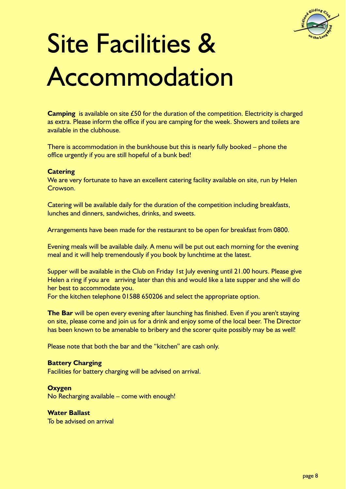

## Site Facilities & Accommodation

**Camping** is available on site £50 for the duration of the competition. Electricity is charged as extra. Please inform the office if you are camping for the week. Showers and toilets are available in the clubhouse.

There is accommodation in the bunkhouse but this is nearly fully booked – phone the office urgently if you are still hopeful of a bunk bed!

#### **Catering**

We are very fortunate to have an excellent catering facility available on site, run by Helen Crowson.

Catering will be available daily for the duration of the competition including breakfasts, lunches and dinners, sandwiches, drinks, and sweets.

Arrangements have been made for the restaurant to be open for breakfast from 0800.

Evening meals will be available daily. A menu will be put out each morning for the evening meal and it will help tremendously if you book by lunchtime at the latest.

Supper will be available in the Club on Friday 1st July evening until 21.00 hours. Please give Helen a ring if you are arriving later than this and would like a late supper and she will do her best to accommodate you.

For the kitchen telephone 01588 650206 and select the appropriate option.

**The Bar** will be open every evening after launching has finished. Even if you aren't staying on site, please come and join us for a drink and enjoy some of the local beer. The Director has been known to be amenable to bribery and the scorer quite possibly may be as well!

Please note that both the bar and the "kitchen" are cash only.

#### **Battery Charging**

Facilities for battery charging will be advised on arrival.

#### **Oxygen**

No Recharging available – come with enough!

#### **Water Ballast**

To be advised on arrival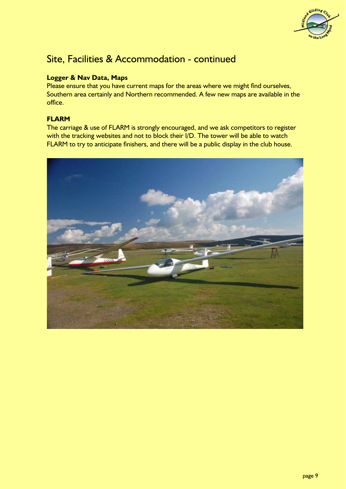

### Site, Facilities & Accommodation - continued

#### **Logger & Nav Data, Maps**

Please ensure that you have current maps for the areas where we might find ourselves, Southern area certainly and Northern recommended. A few new maps are available in the office.

#### **FLARM**

The carriage & use of FLARM is strongly encouraged, and we ask competitors to register with the tracking websites and not to block their I/D. The tower will be able to watch FLARM to try to anticipate finishers, and there will be a public display in the club house.

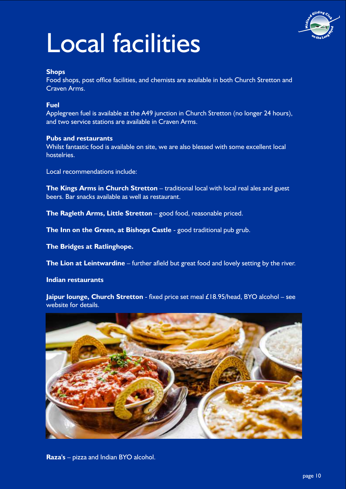

## Local facilities

#### **Shops**

Food shops, post office facilities, and chemists are available in both Church Stretton and Craven Arms.

#### **Fuel**

Applegreen fuel is available at the A49 junction in Church Stretton (no longer 24 hours), and two service stations are available in Craven Arms.

#### **Pubs and restaurants**

Whilst fantastic food is available on site, we are also blessed with some excellent local hostelries.

Local recommendations include:

**The Kings Arms in Church Stretton** – traditional local with local real ales and guest beers. Bar snacks available as well as restaurant.

**The Ragleth Arms, Little Stretton** – good food, reasonable priced.

**The Inn on the Green, at Bishops Castle** - good traditional pub grub.

**The Bridges at Ratlinghope.**

**The Lion at Leintwardine** – further afield but great food and lovely setting by the river.

**Indian restaurants**

**Jaipur lounge, Church Stretton** - fixed price set meal £18.95/head, BYO alcohol – see website for details.



**Raza's** – pizza and Indian BYO alcohol.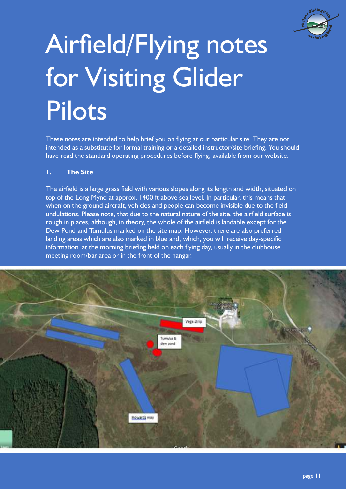

# Airfield/Flying notes for Visiting Glider Pilots

These notes are intended to help brief you on flying at our particular site. They are not intended as a substitute for formal training or a detailed instructor/site briefing. You should have read the standard operating procedures before flying, available from our website.

#### **1. The Site**

The airfield is a large grass field with various slopes along its length and width, situated on top of the Long Mynd at approx. 1400 ft above sea level. In particular, this means that when on the ground aircraft, vehicles and people can become invisible due to the field undulations. Please note, that due to the natural nature of the site, the airfield surface is rough in places, although, in theory, the whole of the airfield is landable except for the Dew Pond and Tumulus marked on the site map. However, there are also preferred landing areas which are also marked in blue and, which, you will receive day-specific information at the morning briefing held on each flying day, usually in the clubhouse meeting room/bar area or in the front of the hangar.

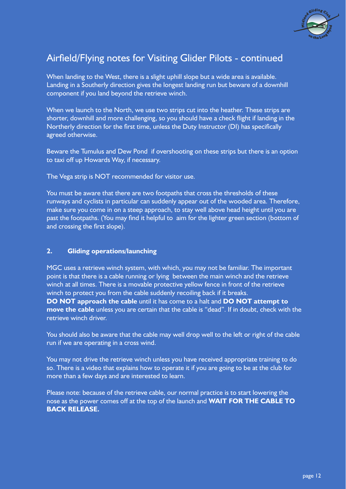

When landing to the West, there is a slight uphill slope but a wide area is available. Landing in a Southerly direction gives the longest landing run but beware of a downhill component if you land beyond the retrieve winch.

When we launch to the North, we use two strips cut into the heather. These strips are shorter, downhill and more challenging, so you should have a check flight if landing in the Northerly direction for the first time, unless the Duty Instructor (DI) has specifically agreed otherwise.

Beware the Tumulus and Dew Pond if overshooting on these strips but there is an option to taxi off up Howards Way, if necessary.

The Vega strip is NOT recommended for visitor use.

You must be aware that there are two footpaths that cross the thresholds of these runways and cyclists in particular can suddenly appear out of the wooded area. Therefore, make sure you come in on a steep approach, to stay well above head height until you are past the footpaths. (You may find it helpful to aim for the lighter green section (bottom of and crossing the first slope).

#### **2. Gliding operations/launching**

MGC uses a retrieve winch system, with which, you may not be familiar. The important point is that there is a cable running or lying between the main winch and the retrieve winch at all times. There is a movable protective yellow fence in front of the retrieve winch to protect you from the cable suddenly recoiling back if it breaks. **DO NOT approach the cable** until it has come to a halt and **DO NOT attempt to move the cable** unless you are certain that the cable is "dead". If in doubt, check with the retrieve winch driver.

You should also be aware that the cable may well drop well to the left or right of the cable run if we are operating in a cross wind.

You may not drive the retrieve winch unless you have received appropriate training to do so. There is a video that explains how to operate it if you are going to be at the club for more than a few days and are interested to learn.

Please note: because of the retrieve cable, our normal practice is to start lowering the nose as the power comes off at the top of the launch and **WAIT FOR THE CABLE TO BACK RELEASE.**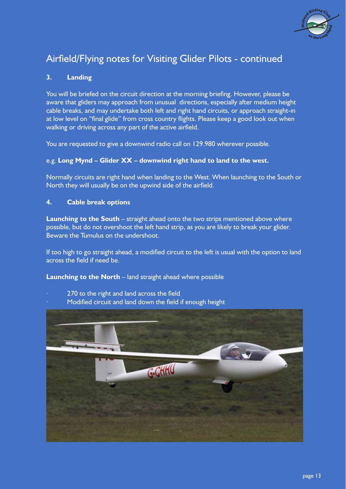

#### **3. Landing**

You will be briefed on the circuit direction at the morning briefing. However, please be aware that gliders may approach from unusual directions, especially after medium height cable breaks, and may undertake both left and right hand circuits, or approach straight-in at low level on "final glide" from cross country flights. Please keep a good look out when walking or driving across any part of the active airfield.

You are requested to give a downwind radio call on 129.980 wherever possible.

#### e.g. **Long Mynd – Glider XX – downwind right hand to land to the west.**

Normally circuits are right hand when landing to the West. When launching to the South or North they will usually be on the upwind side of the airfield.

#### **4. Cable break options**

**Launching to the South** – straight ahead onto the two strips mentioned above where possible, but do not overshoot the left hand strip, as you are likely to break your glider. Beware the Tumulus on the undershoot.

If too high to go straight ahead, a modified circuit to the left is usual with the option to land across the field if need be.

**Launching to the North** – land straight ahead where possible

- 270 to the right and land across the field
- Modified circuit and land down the field if enough height

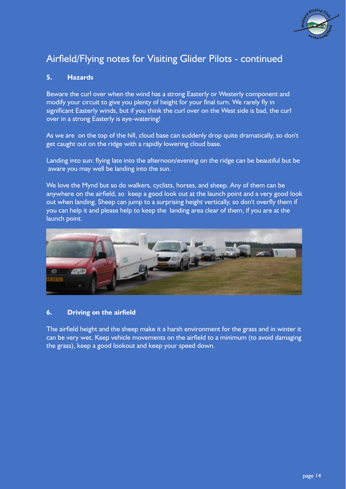

#### **5. Hazards**

Beware the curl over when the wind has a strong Easterly or Westerly component and modify your circuit to give you plenty of height for your final turn. We rarely fly in significant Easterly winds, but if you think the curl over on the West side is bad, the curl over in a strong Easterly is eye-watering!

As we are on the top of the hill, cloud base can suddenly drop quite dramatically, so don't get caught out on the ridge with a rapidly lowering cloud base.

Landing into sun: flying late into the afternoon/evening on the ridge can be beautiful but be aware you may well be landing into the sun.

We love the Mynd but so do walkers, cyclists, horses, and sheep. Any of them can be anywhere on the airfield, so keep a good look out at the launch point and a very good look out when landing. Sheep can jump to a surprising height vertically, so don't overfly them if you can help it and please help to keep the landing area clear of them, if you are at the launch point.



#### **6.** Driving on the airfield

The airfield height and the sheep make it a harsh environment for the grass and in winter it can be very wet. Keep vehicle movements on the airfield to a minimum (to avoid damaging the grass), keep a good lookout and keep your speed down.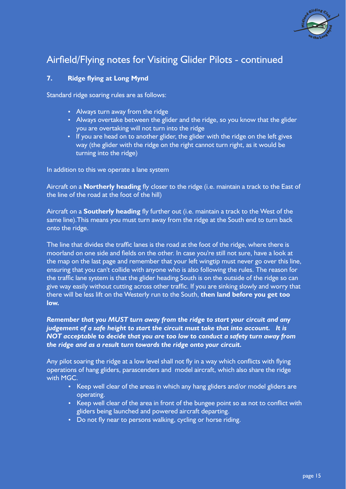

#### **7.** Ridge flying at Long Mynd

Standard ridge soaring rules are as follows:

- Always turn away from the ridge
- Always overtake between the glider and the ridge, so you know that the glider you are overtaking will not turn into the ridge
- If you are head on to another glider, the glider with the ridge on the left gives way (the glider with the ridge on the right cannot turn right, as it would be turning into the ridge)

In addition to this we operate a lane system

Aircraft on a **Northerly heading** fly closer to the ridge (i.e. maintain a track to the East of the line of the road at the foot of the hill)

Aircraft on a **Southerly heading** fly further out (i.e. maintain a track to the West of the same line).This means you must turn away from the ridge at the South end to turn back onto the ridge.

The line that divides the traffic lanes is the road at the foot of the ridge, where there is moorland on one side and fields on the other. In case you're still not sure, have a look at the map on the last page and remember that your left wingtip must never go over this line, ensuring that you can't collide with anyone who is also following the rules. The reason for the traffic lane system is that the glider heading South is on the outside of the ridge so can give way easily without cutting across other traffic. If you are sinking slowly and worry that there will be less lift on the Westerly run to the South, **then land before you get too low.**

#### *Remember that you MUST turn away from the ridge to start your circuit and any judgement of a safe height to start the circuit must take that into account. It is NOT acceptable to decide that you are too low to conduct a safety turn away from the ridge and as a result turn towards the ridge onto your circuit.*

Any pilot soaring the ridge at a low level shall not fly in a way which conflicts with flying operations of hang gliders, parascenders and model aircraft, which also share the ridge with MGC.

- Keep well clear of the areas in which any hang gliders and/or model gliders are operating.
- Keep well clear of the area in front of the bungee point so as not to conflict with gliders being launched and powered aircraft departing.
- Do not fly near to persons walking, cycling or horse riding.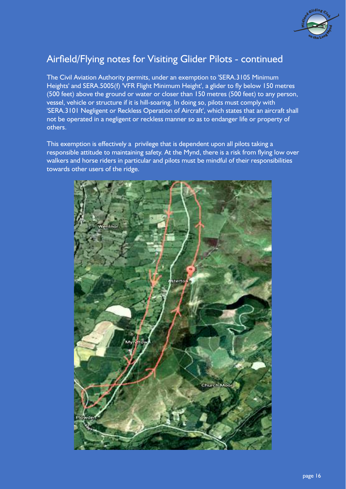

The Civil Aviation Authority permits, under an exemption to 'SERA.3105 Minimum Heights' and SERA.5005(f) 'VFR Flight Minimum Height', a glider to fly below 150 metres (500 feet) above the ground or water or closer than 150 metres (500 feet) to any person, vessel, vehicle or structure if it is hill-soaring. In doing so, pilots must comply with 'SERA.3101 Negligent or Reckless Operation of Aircraft', which states that an aircraft shall not be operated in a negligent or reckless manner so as to endanger life or property of others.

This exemption is effectively a privilege that is dependent upon all pilots taking a responsible attitude to maintaining safety. At the Mynd, there is a risk from flying low over walkers and horse riders in particular and pilots must be mindful of their responsibilities towards other users of the ridge.

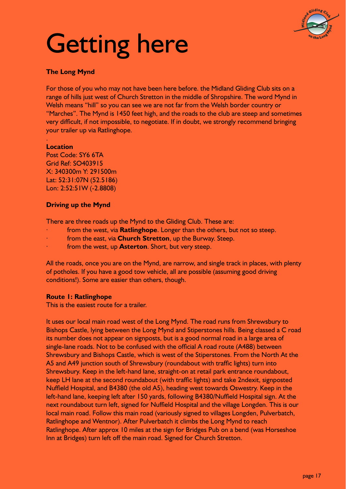

## Getting here

#### **The Long Mynd**

For those of you who may not have been here before. the Midland Gliding Club sits on a range of hills just west of Church Stretton in the middle of Shropshire. The word Mynd in Welsh means "hill" so you can see we are not far from the Welsh border country or "Marches". The Mynd is 1450 feet high, and the roads to the club are steep and sometimes very difficult, if not impossible, to negotiate. If in doubt, we strongly recommend bringing your trailer up via Ratlinghope.

#### . **Location**

Post Code: SY6 6TA Grid Ref: SO403915 X: 340300m Y: 291500m Lat: 52:31:07N (52.5186) Lon: 2:52:51W (-2.8808)

#### **Driving up the Mynd**

There are three roads up the Mynd to the Gliding Club. These are:

- · from the west, via **Ratlinghope**. Longer than the others, but not so steep.
- from the east, via **Church Stretton**, up the Burway. Steep.
- from the west, up **Asterton**. Short, but very steep.

All the roads, once you are on the Mynd, are narrow, and single track in places, with plenty of potholes. If you have a good tow vehicle, all are possible (assuming good driving conditions!). Some are easier than others, though.

#### **Route 1: Ratlinghope**

This is the easiest route for a trailer.

It uses our local main road west of the Long Mynd. The road runs from Shrewsbury to Bishops Castle, lying between the Long Mynd and Stiperstones hills. Being classed a C road its number does not appear on signposts, but is a good normal road in a large area of single-lane roads. Not to be confused with the official A road route (A488) between Shrewsbury and Bishops Castle, which is west of the Stiperstones. From the North At the A5 and A49 junction south of Shrewsbury (roundabout with traffic lights) turn into Shrewsbury. Keep in the left-hand lane, straight-on at retail park entrance roundabout, keep LH lane at the second roundabout (with traffic lights) and take 2ndexit, signposted Nuffield Hospital, and B4380 (the old A5), heading west towards Oswestry. Keep in the left-hand lane, keeping left after 150 yards, following B4380/Nuffield Hospital sign. At the next roundabout turn left, signed for Nuffield Hospital and the village Longden. This is our local main road. Follow this main road (variously signed to villages Longden, Pulverbatch, Ratlinghope and Wentnor). After Pulverbatch it climbs the Long Mynd to reach Ratlinghope. After approx 10 miles at the sign for Bridges Pub on a bend (was Horseshoe Inn at Bridges) turn left off the main road. Signed for Church Stretton.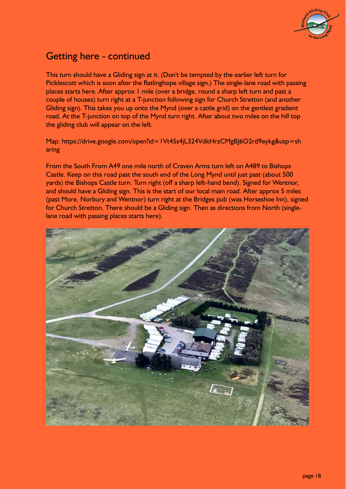

### Getting here - continued

This turn should have a Gliding sign at it. (Don't be tempted by the earlier left turn for Picklescott which is soon after the Ratlinghope village sign.) The single-lane road with passing places starts here. After approx 1 mile (over a bridge, round a sharp left turn and past a couple of houses) turn right at a T-junction following sign for Church Stretton (and another Gliding sign). This takes you up onto the Mynd (over a cattle grid) on the gentlest gradient road. At the T-junction on top of the Mynd turn right. After about two miles on the hill top the gliding club will appear on the left.

Map: https://drive.google.com/open?id=1Vt45s4jL324VdkHrzCMgBJ6O2rd9eykg&usp=sh aring

From the South From A49 one mile north of Craven Arms turn left on A489 to Bishops Castle. Keep on this road past the south end of the Long Mynd until just past (about 500 yards) the Bishops Castle turn. Turn right (off a sharp left-hand bend). Signed for Wentnor, and should have a Gliding sign. This is the start of our local main road. After approx 5 miles (past More, Norbury and Wentnor) turn right at the Bridges pub (was Horseshoe Inn), signed for Church Stretton. There should be a Gliding sign. Then as directions from North (singlelane road with passing places starts here).

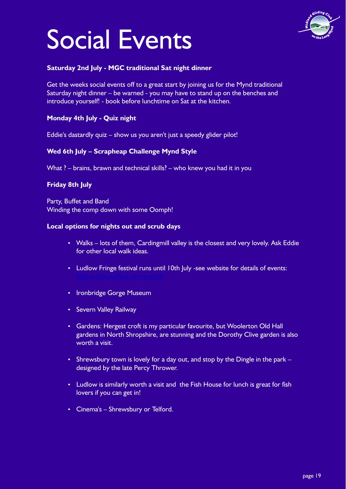## Social Events



#### **Saturday 2nd July - MGC traditional Sat night dinner**

Get the weeks social events off to a great start by joining us for the Mynd traditional Saturday night dinner – be warned - you may have to stand up on the benches and introduce yourself! - book before lunchtime on Sat at the kitchen.

#### **Monday 4th July - Quiz night**

Eddie's dastardly quiz – show us you aren't just a speedy glider pilot!

#### **Wed 6th July – Scrapheap Challenge Mynd Style**

What ? – brains, brawn and technical skills? – who knew you had it in you

#### **Friday 8th July**

Winding the comp down with some Oomph! Party, Buffet and Band

#### **Local options for nights out and scrub days**

- Walks lots of them, Cardingmill valley is the closest and very lovely. Ask Eddie for other local walk ideas.
- Ludlow Fringe festival runs until 10th July -see website for details of events:
- Ironbridge Gorge Museum
- Severn Valley Railway
- Gardens: Hergest croft is my particular favourite, but Woolerton Old Hall gardens in North Shropshire, are stunning and the Dorothy Clive garden is also worth a visit.
- Shrewsbury town is lovely for a day out, and stop by the Dingle in the park designed by the late Percy Thrower.
- Ludlow is similarly worth a visit and the Fish House for lunch is great for fish lovers if you can get in!
- Cinema's Shrewsbury or Telford.